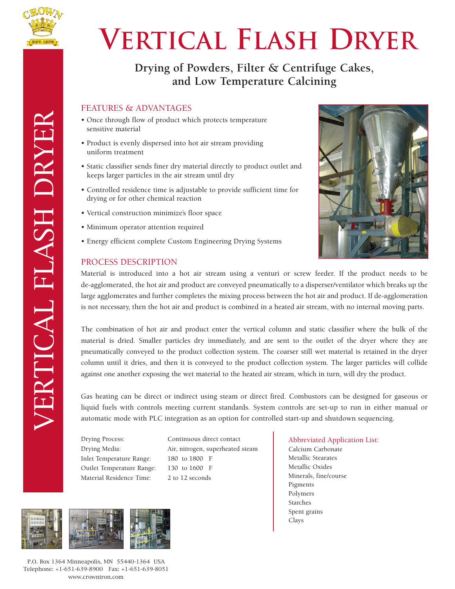

VERTICAL FLASH DRYER

**VERTICAL FLASH DRYER** 

## **Vertical Flash Dryer**

### **Drying of Powders, Filter & Centrifuge Cakes, and Low Temperature Calcining**

#### FEATURES & ADVANTAGES

- Once through flow of product which protects temperature sensitive material
- Product is evenly dispersed into hot air stream providing uniform treatment
- Static classifier sends finer dry material directly to product outlet and keeps larger particles in the air stream until dry
- Controlled residence time is adjustable to provide sufficient time for drying or for other chemical reaction
- Vertical construction minimize's floor space
- Minimum operator attention required
- Energy efficient complete Custom Engineering Drying Systems

#### PROCESS DESCRIPTION



Material is introduced into a hot air stream using a venturi or screw feeder. If the product needs to be de-agglomerated, the hot air and product are conveyed pneumatically to a disperser/ventilator which breaks up the large agglomerates and further completes the mixing process between the hot air and product. If de-agglomeration is not necessary, then the hot air and product is combined in a heated air stream, with no internal moving parts.

The combination of hot air and product enter the vertical column and static classifier where the bulk of the material is dried. Smaller particles dry immediately, and are sent to the outlet of the dryer where they are pneumatically conveyed to the product collection system. The coarser still wet material is retained in the dryer column until it dries, and then it is conveyed to the product collection system. The larger particles will collide against one another exposing the wet material to the heated air stream, which in turn, will dry the product.

Gas heating can be direct or indirect using steam or direct fired. Combustors can be designed for gaseous or liquid fuels with controls meeting current standards. System controls are set-up to run in either manual or automatic mode with PLC integration as an option for controlled start-up and shutdown sequencing.

Inlet Temperature Range: 180 to 1800 F Outlet Temperature Range: 130 to 1600 F Material Residence Time: 2 to 12 seconds

Drying Process: Continuous direct contact Drying Media: Air, nitrogen, superheated steam



P.O. Box 1364 Minneapolis, MN 55440-1364 USA Telephone: +1-651-639-8900 Fax: +1-651-639-8051 www.crowniron.com

Abbreviated Application List: Calcium Carbonate Metallic Stearates

Metallic Oxides Minerals, fine/course Pigments Polymers Starches Spent grains Clays